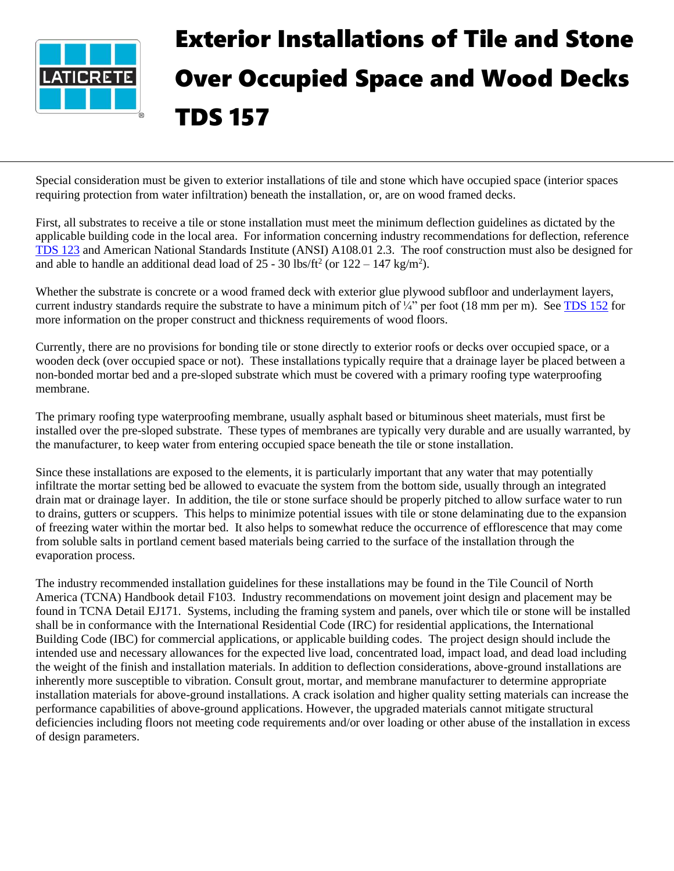

## Exterior Installations of Tile and Stone Over Occupied Space and Wood Decks TDS 157

Special consideration must be given to exterior installations of tile and stone which have occupied space (interior spaces requiring protection from water infiltration) beneath the installation, or, are on wood framed decks.

First, all substrates to receive a tile or stone installation must meet the minimum deflection guidelines as dictated by the applicable building code in the local area. For information concerning industry recommendations for deflection, reference [TDS 123](https://cdn.laticrete.com/~/media/support-and-downloads/technical-datasheets/tds123.ashx) and American National Standards Institute (ANSI) A108.01 2.3. The roof construction must also be designed for and able to handle an additional dead load of  $25 - 30$  lbs/ft<sup>2</sup> (or  $122 - 147$  kg/m<sup>2</sup>).

Whether the substrate is concrete or a wood framed deck with exterior glue plywood subfloor and underlayment layers, current industry standards require the substrate to have a minimum pitch of  $\frac{1}{4}$ " per foot (18 mm per m). See [TDS](https://cdn.laticrete.com/~/media/support-and-downloads/technical-datasheets/tds152.ashx) 152 for more information on the proper construct and thickness requirements of wood floors.

Currently, there are no provisions for bonding tile or stone directly to exterior roofs or decks over occupied space, or a wooden deck (over occupied space or not). These installations typically require that a drainage layer be placed between a non-bonded mortar bed and a pre-sloped substrate which must be covered with a primary roofing type waterproofing membrane.

The primary roofing type waterproofing membrane, usually asphalt based or bituminous sheet materials, must first be installed over the pre-sloped substrate. These types of membranes are typically very durable and are usually warranted, by the manufacturer, to keep water from entering occupied space beneath the tile or stone installation.

Since these installations are exposed to the elements, it is particularly important that any water that may potentially infiltrate the mortar setting bed be allowed to evacuate the system from the bottom side, usually through an integrated drain mat or drainage layer. In addition, the tile or stone surface should be properly pitched to allow surface water to run to drains, gutters or scuppers. This helps to minimize potential issues with tile or stone delaminating due to the expansion of freezing water within the mortar bed. It also helps to somewhat reduce the occurrence of efflorescence that may come from soluble salts in portland cement based materials being carried to the surface of the installation through the evaporation process.

The industry recommended installation guidelines for these installations may be found in the Tile Council of North America (TCNA) Handbook detail F103. Industry recommendations on movement joint design and placement may be found in TCNA Detail EJ171. Systems, including the framing system and panels, over which tile or stone will be installed shall be in conformance with the International Residential Code (IRC) for residential applications, the International Building Code (IBC) for commercial applications, or applicable building codes. The project design should include the intended use and necessary allowances for the expected live load, concentrated load, impact load, and dead load including the weight of the finish and installation materials. In addition to deflection considerations, above-ground installations are inherently more susceptible to vibration. Consult grout, mortar, and membrane manufacturer to determine appropriate installation materials for above-ground installations. A crack isolation and higher quality setting materials can increase the performance capabilities of above-ground applications. However, the upgraded materials cannot mitigate structural deficiencies including floors not meeting code requirements and/or over loading or other abuse of the installation in excess of design parameters.